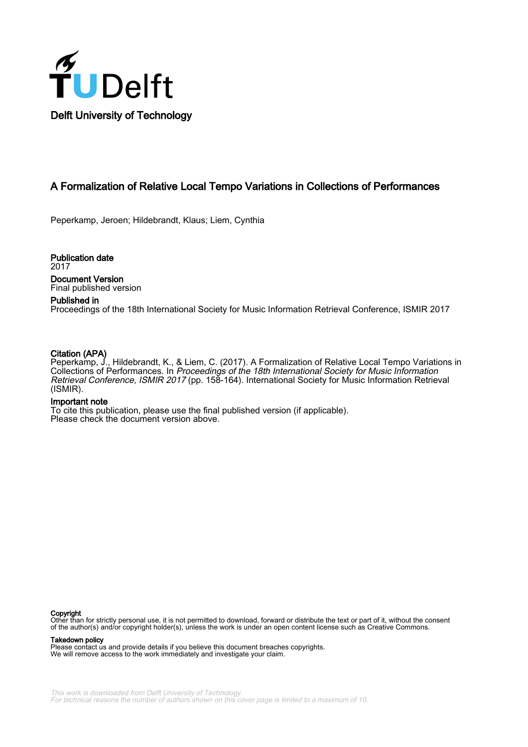

# A Formalization of Relative Local Tempo Variations in Collections of Performances

Peperkamp, Jeroen; Hildebrandt, Klaus; Liem, Cynthia

Publication date 2017 Document Version Final published version

## Published in

Proceedings of the 18th International Society for Music Information Retrieval Conference, ISMIR 2017

## Citation (APA)

Peperkamp, J., Hildebrandt, K., & Liem, C. (2017). A Formalization of Relative Local Tempo Variations in Collections of Performances. In Proceedings of the 18th International Society for Music Information Retrieval Conference, ISMIR 2017 (pp. 158-164). International Society for Music Information Retrieval (ISMIR).

## Important note

To cite this publication, please use the final published version (if applicable). Please check the document version above.

#### Copyright

Other than for strictly personal use, it is not permitted to download, forward or distribute the text or part of it, without the consent of the author(s) and/or copyright holder(s), unless the work is under an open content license such as Creative Commons.

#### Takedown policy

Please contact us and provide details if you believe this document breaches copyrights. We will remove access to the work immediately and investigate your claim.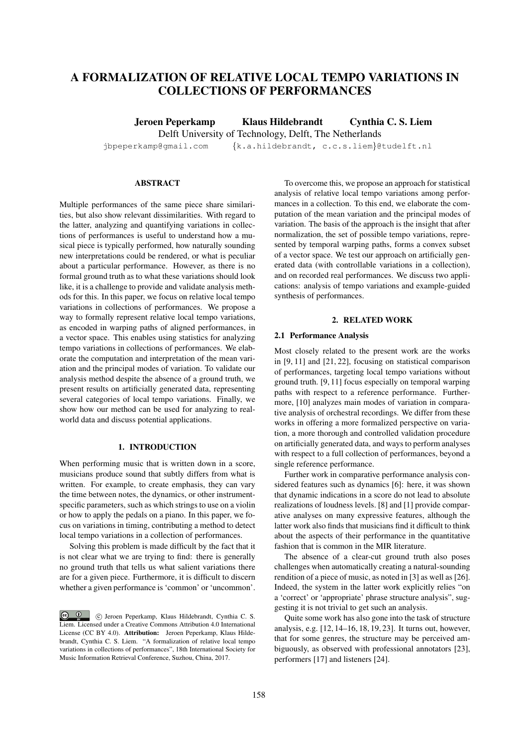# A FORMALIZATION OF RELATIVE LOCAL TEMPO VARIATIONS IN COLLECTIONS OF PERFORMANCES

Jeroen Peperkamp Klaus Hildebrandt Cynthia C. S. Liem Delft University of Technology, Delft, The Netherlands

jbpeperkamp@gmail.com {k.a.hildebrandt, c.c.s.liem}@tudelft.nl

## **ABSTRACT**

Multiple performances of the same piece share similarities, but also show relevant dissimilarities. With regard to the latter, analyzing and quantifying variations in collections of performances is useful to understand how a musical piece is typically performed, how naturally sounding new interpretations could be rendered, or what is peculiar about a particular performance. However, as there is no formal ground truth as to what these variations should look like, it is a challenge to provide and validate analysis methods for this. In this paper, we focus on relative local tempo variations in collections of performances. We propose a way to formally represent relative local tempo variations, as encoded in warping paths of aligned performances, in a vector space. This enables using statistics for analyzing tempo variations in collections of performances. We elaborate the computation and interpretation of the mean variation and the principal modes of variation. To validate our analysis method despite the absence of a ground truth, we present results on artificially generated data, representing several categories of local tempo variations. Finally, we show how our method can be used for analyzing to realworld data and discuss potential applications.

### 1. INTRODUCTION

When performing music that is written down in a score, musicians produce sound that subtly differs from what is written. For example, to create emphasis, they can vary the time between notes, the dynamics, or other instrumentspecific parameters, such as which strings to use on a violin or how to apply the pedals on a piano. In this paper, we focus on variations in timing, contributing a method to detect local tempo variations in a collection of performances.

Solving this problem is made difficult by the fact that it is not clear what we are trying to find: there is generally no ground truth that tells us what salient variations there are for a given piece. Furthermore, it is difficult to discern whether a given performance is 'common' or 'uncommon'.

To overcome this, we propose an approach for statistical analysis of relative local tempo variations among performances in a collection. To this end, we elaborate the computation of the mean variation and the principal modes of variation. The basis of the approach is the insight that after normalization, the set of possible tempo variations, represented by temporal warping paths, forms a convex subset of a vector space. We test our approach on artificially generated data (with controllable variations in a collection), and on recorded real performances. We discuss two applications: analysis of tempo variations and example-guided synthesis of performances.

## 2. RELATED WORK

#### 2.1 Performance Analysis

Most closely related to the present work are the works in [9, 11] and [21, 22], focusing on statistical comparison of performances, targeting local tempo variations without ground truth. [9, 11] focus especially on temporal warping paths with respect to a reference performance. Furthermore, [10] analyzes main modes of variation in comparative analysis of orchestral recordings. We differ from these works in offering a more formalized perspective on variation, a more thorough and controlled validation procedure on artificially generated data, and ways to perform analyses with respect to a full collection of performances, beyond a single reference performance.

Further work in comparative performance analysis considered features such as dynamics [6]: here, it was shown that dynamic indications in a score do not lead to absolute realizations of loudness levels. [8] and [1] provide comparative analyses on many expressive features, although the latter work also finds that musicians find it difficult to think about the aspects of their performance in the quantitative fashion that is common in the MIR literature.

The absence of a clear-cut ground truth also poses challenges when automatically creating a natural-sounding rendition of a piece of music, as noted in [3] as well as [26]. Indeed, the system in the latter work explicitly relies "on a 'correct' or 'appropriate' phrase structure analysis", suggesting it is not trivial to get such an analysis.

Quite some work has also gone into the task of structure analysis, e.g. [12, 14–16, 18, 19, 23]. It turns out, however, that for some genres, the structure may be perceived ambiguously, as observed with professional annotators [23], performers [17] and listeners [24].

 $\circ$   $\circ$  c Jeroen Peperkamp, Klaus Hildebrandt, Cynthia C. S. Liem. Licensed under a Creative Commons Attribution 4.0 International License (CC BY 4.0). Attribution: Jeroen Peperkamp, Klaus Hildebrandt, Cynthia C. S. Liem. "A formalization of relative local tempo variations in collections of performances", 18th International Society for Music Information Retrieval Conference, Suzhou, China, 2017.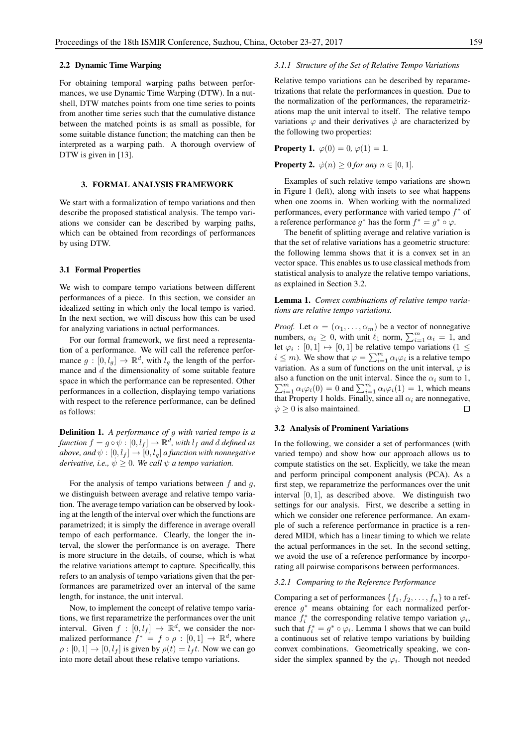### 2.2 Dynamic Time Warping

For obtaining temporal warping paths between performances, we use Dynamic Time Warping (DTW). In a nutshell, DTW matches points from one time series to points from another time series such that the cumulative distance between the matched points is as small as possible, for some suitable distance function; the matching can then be interpreted as a warping path. A thorough overview of DTW is given in [13].

#### 3. FORMAL ANALYSIS FRAMEWORK

We start with a formalization of tempo variations and then describe the proposed statistical analysis. The tempo variations we consider can be described by warping paths, which can be obtained from recordings of performances by using DTW.

## 3.1 Formal Properties

We wish to compare tempo variations between different performances of a piece. In this section, we consider an idealized setting in which only the local tempo is varied. In the next section, we will discuss how this can be used for analyzing variations in actual performances.

For our formal framework, we first need a representation of a performance. We will call the reference performance  $g : [0, l_g] \to \mathbb{R}^d$ , with  $l_g$  the length of the performance and  $d$  the dimensionality of some suitable feature space in which the performance can be represented. Other performances in a collection, displaying tempo variations with respect to the reference performance, can be defined as follows:

Definition 1. *A performance of* g *with varied tempo is a*  $f$ *unction*  $f = g \circ \psi : [0, l_f] \to \mathbb{R}^d$ , with  $l_f$  and  $d$  defined as *above, and*  $\psi : [0, l_f] \rightarrow [0, l_q]$  *a function with nonnegative derivative, i.e.,*  $\dot{\psi} > 0$ *. We call*  $\psi$  *a tempo variation.* 

For the analysis of tempo variations between  $f$  and  $g$ , we distinguish between average and relative tempo variation. The average tempo variation can be observed by looking at the length of the interval over which the functions are parametrized; it is simply the difference in average overall tempo of each performance. Clearly, the longer the interval, the slower the performance is on average. There is more structure in the details, of course, which is what the relative variations attempt to capture. Specifically, this refers to an analysis of tempo variations given that the performances are parametrized over an interval of the same length, for instance, the unit interval.

Now, to implement the concept of relative tempo variations, we first reparametrize the performances over the unit interval. Given  $f : [0, l_f] \rightarrow \mathbb{R}^d$ , we consider the normalized performance  $f^* = f \circ \rho : [0,1] \to \mathbb{R}^d$ , where  $\rho : [0, 1] \rightarrow [0, l_f]$  is given by  $\rho(t) = l_f t$ . Now we can go into more detail about these relative tempo variations.

#### *3.1.1 Structure of the Set of Relative Tempo Variations*

Relative tempo variations can be described by reparametrizations that relate the performances in question. Due to the normalization of the performances, the reparametrizations map the unit interval to itself. The relative tempo variations  $\varphi$  and their derivatives  $\dot{\varphi}$  are characterized by the following two properties:

**Property 1.**  $\varphi(0) = 0, \varphi(1) = 1$ .

**Property 2.**  $\dot{\varphi}(n) \ge 0$  *for any*  $n \in [0, 1]$ *.* 

Examples of such relative tempo variations are shown in Figure 1 (left), along with insets to see what happens when one zooms in. When working with the normalized performances, every performance with varied tempo  $f^*$  of a reference performance  $g^*$  has the form  $f^* = g^* \circ \varphi$ .

The benefit of splitting average and relative variation is that the set of relative variations has a geometric structure: the following lemma shows that it is a convex set in an vector space. This enables us to use classical methods from statistical analysis to analyze the relative tempo variations, as explained in Section 3.2.

#### Lemma 1. *Convex combinations of relative tempo variations are relative tempo variations.*

*Proof.* Let  $\alpha = (\alpha_1, \dots, \alpha_m)$  be a vector of nonnegative numbers,  $\alpha_i \geq 0$ , with unit  $\ell_1$  norm,  $\sum_{i=1}^m \alpha_i = 1$ , and let  $\varphi_i : [0,1] \mapsto [0,1]$  be relative tempo variations (1  $\leq$  $i \leq m$ ). We show that  $\varphi = \sum_{i=1}^{m} \alpha_i \varphi_i$  is a relative tempo variation. As a sum of functions on the unit interval,  $\varphi$  is also a function on the unit interval. Since the  $\alpha_i$  sum to 1,  $\sum_{i=1}^{m} \alpha_i \varphi_i(0) = 0$  and  $\sum_{i=1}^{m} \alpha_i \varphi_i(1) = 1$ , which means that Property 1 holds. Finally, since all  $\alpha_i$  are nonnegative,  $\dot{\varphi} \geq 0$  is also maintained. П

#### 3.2 Analysis of Prominent Variations

In the following, we consider a set of performances (with varied tempo) and show how our approach allows us to compute statistics on the set. Explicitly, we take the mean and perform principal component analysis (PCA). As a first step, we reparametrize the performances over the unit interval  $[0, 1]$ , as described above. We distinguish two settings for our analysis. First, we describe a setting in which we consider one reference performance. An example of such a reference performance in practice is a rendered MIDI, which has a linear timing to which we relate the actual performances in the set. In the second setting, we avoid the use of a reference performance by incorporating all pairwise comparisons between performances.

#### *3.2.1 Comparing to the Reference Performance*

Comparing a set of performances  $\{f_1, f_2, \ldots, f_n\}$  to a reference  $g$ <sup>\*</sup> means obtaining for each normalized performance  $f_i^*$  the corresponding relative tempo variation  $\varphi_i$ , such that  $f_i^* = g^* \circ \varphi_i$ . Lemma 1 shows that we can build a continuous set of relative tempo variations by building convex combinations. Geometrically speaking, we consider the simplex spanned by the  $\varphi_i$ . Though not needed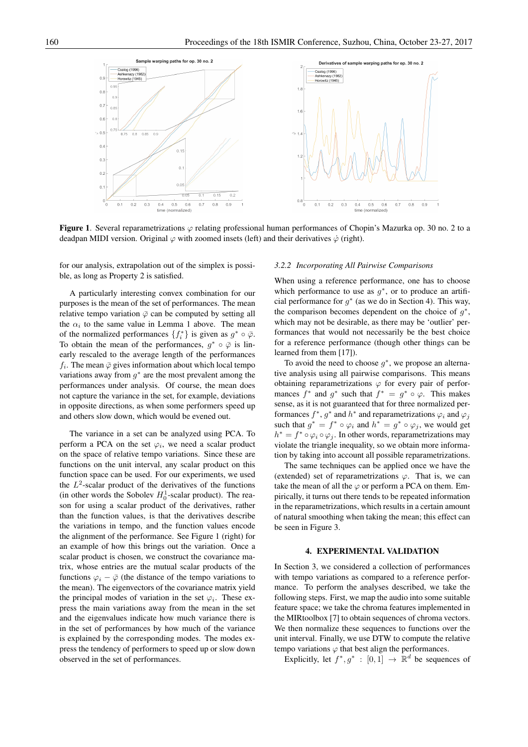

Figure 1. Several reparametrizations  $\varphi$  relating professional human performances of Chopin's Mazurka op. 30 no. 2 to a deadpan MIDI version. Original  $\varphi$  with zoomed insets (left) and their derivatives  $\dot{\varphi}$  (right).

for our analysis, extrapolation out of the simplex is possible, as long as Property 2 is satisfied.

A particularly interesting convex combination for our purposes is the mean of the set of performances. The mean relative tempo variation  $\overline{\varphi}$  can be computed by setting all the  $\alpha_i$  to the same value in Lemma 1 above. The mean of the normalized performances  $\{f_i^*\}$  is given as  $g^* \circ \bar{\varphi}$ . To obtain the mean of the performances,  $g^* \circ \bar{\varphi}$  is linearly rescaled to the average length of the performances  $f_i$ . The mean  $\bar{\varphi}$  gives information about which local tempo variations away from  $g^*$  are the most prevalent among the performances under analysis. Of course, the mean does not capture the variance in the set, for example, deviations in opposite directions, as when some performers speed up and others slow down, which would be evened out.

The variance in a set can be analyzed using PCA. To perform a PCA on the set  $\varphi_i$ , we need a scalar product on the space of relative tempo variations. Since these are functions on the unit interval, any scalar product on this function space can be used. For our experiments, we used the  $L^2$ -scalar product of the derivatives of the functions (in other words the Sobolev  $H_0^1$ -scalar product). The reason for using a scalar product of the derivatives, rather than the function values, is that the derivatives describe the variations in tempo, and the function values encode the alignment of the performance. See Figure 1 (right) for an example of how this brings out the variation. Once a scalar product is chosen, we construct the covariance matrix, whose entries are the mutual scalar products of the functions  $\varphi_i - \bar{\varphi}$  (the distance of the tempo variations to the mean). The eigenvectors of the covariance matrix yield the principal modes of variation in the set  $\varphi_i$ . These express the main variations away from the mean in the set and the eigenvalues indicate how much variance there is in the set of performances by how much of the variance is explained by the corresponding modes. The modes express the tendency of performers to speed up or slow down observed in the set of performances.

#### *3.2.2 Incorporating All Pairwise Comparisons*

When using a reference performance, one has to choose which performance to use as  $g^*$ , or to produce an artificial performance for  $g^*$  (as we do in Section 4). This way, the comparison becomes dependent on the choice of  $g^*$ , which may not be desirable, as there may be 'outlier' performances that would not necessarily be the best choice for a reference performance (though other things can be learned from them [17]).

To avoid the need to choose  $g^*$ , we propose an alternative analysis using all pairwise comparisons. This means obtaining reparametrizations  $\varphi$  for every pair of performances  $f^*$  and  $g^*$  such that  $f^* = g^* \circ \varphi$ . This makes sense, as it is not guaranteed that for three normalized performances  $f^*$ ,  $g^*$  and  $h^*$  and reparametrizations  $\varphi_i$  and  $\varphi_j$ such that  $g^* = f^* \circ \varphi_i$  and  $h^* = g^* \circ \varphi_j$ , we would get  $h^* = f^* \circ \varphi_i \circ \varphi_j$ . In other words, reparametrizations may violate the triangle inequality, so we obtain more information by taking into account all possible reparametrizations.

The same techniques can be applied once we have the (extended) set of reparametrizations  $\varphi$ . That is, we can take the mean of all the  $\varphi$  or perform a PCA on them. Empirically, it turns out there tends to be repeated information in the reparametrizations, which results in a certain amount of natural smoothing when taking the mean; this effect can be seen in Figure 3.

## 4. EXPERIMENTAL VALIDATION

In Section 3, we considered a collection of performances with tempo variations as compared to a reference performance. To perform the analyses described, we take the following steps. First, we map the audio into some suitable feature space; we take the chroma features implemented in the MIRtoolbox [7] to obtain sequences of chroma vectors. We then normalize these sequences to functions over the unit interval. Finally, we use DTW to compute the relative tempo variations  $\varphi$  that best align the performances.

Explicitly, let  $f^*, g^* : [0,1] \rightarrow \mathbb{R}^d$  be sequences of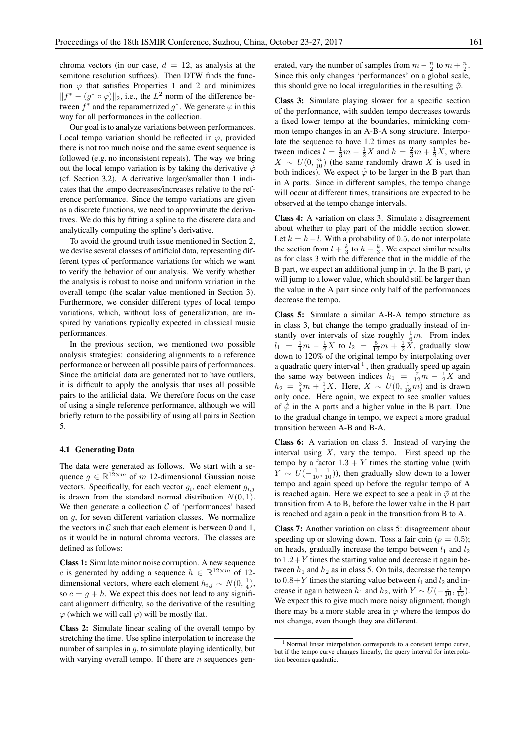chroma vectors (in our case,  $d = 12$ , as analysis at the semitone resolution suffices). Then DTW finds the function  $\varphi$  that satisfies Properties 1 and 2 and minimizes  $||f^* - (g^* \circ \varphi)||_2$ , i.e., the  $L^2$  norm of the difference between  $f^*$  and the reparametrized  $g^*$ . We generate  $\varphi$  in this way for all performances in the collection.

Our goal is to analyze variations between performances. Local tempo variation should be reflected in  $\varphi$ , provided there is not too much noise and the same event sequence is followed (e.g. no inconsistent repeats). The way we bring out the local tempo variation is by taking the derivative  $\dot{\varphi}$ (cf. Section 3.2). A derivative larger/smaller than 1 indicates that the tempo decreases/increases relative to the reference performance. Since the tempo variations are given as a discrete functions, we need to approximate the derivatives. We do this by fitting a spline to the discrete data and analytically computing the spline's derivative.

To avoid the ground truth issue mentioned in Section 2, we devise several classes of artificial data, representing different types of performance variations for which we want to verify the behavior of our analysis. We verify whether the analysis is robust to noise and uniform variation in the overall tempo (the scalar value mentioned in Section 3). Furthermore, we consider different types of local tempo variations, which, without loss of generalization, are inspired by variations typically expected in classical music performances.

In the previous section, we mentioned two possible analysis strategies: considering alignments to a reference performance or between all possible pairs of performances. Since the artificial data are generated not to have outliers, it is difficult to apply the analysis that uses all possible pairs to the artificial data. We therefore focus on the case of using a single reference performance, although we will briefly return to the possibility of using all pairs in Section 5.

#### 4.1 Generating Data

The data were generated as follows. We start with a sequence  $g \in \mathbb{R}^{12 \times m}$  of m 12-dimensional Gaussian noise vectors. Specifically, for each vector  $g_i$ , each element  $g_{i,j}$ is drawn from the standard normal distribution  $N(0, 1)$ . We then generate a collection  $C$  of 'performances' based on g, for seven different variation classes. We normalize the vectors in  $C$  such that each element is between 0 and 1, as it would be in natural chroma vectors. The classes are defined as follows:

Class 1: Simulate minor noise corruption. A new sequence c is generated by adding a sequence  $h \in \mathbb{R}^{12 \times m}$  of 12dimensional vectors, where each element  $h_{i,j} \sim N(0, \frac{1}{4})$ , so  $c = g + h$ . We expect this does not lead to any significant alignment difficulty, so the derivative of the resulting  $\overline{\varphi}$  (which we will call  $\dot{\overline{\varphi}}$ ) will be mostly flat.

Class 2: Simulate linear scaling of the overall tempo by stretching the time. Use spline interpolation to increase the number of samples in  $g$ , to simulate playing identically, but with varying overall tempo. If there are  $n$  sequences generated, vary the number of samples from  $m - \frac{n}{2}$  to  $m + \frac{n}{2}$ . Since this only changes 'performances' on a global scale, this should give no local irregularities in the resulting  $\dot{\bar{\phi}}$ .

Class 3: Simulate playing slower for a specific section of the performance, with sudden tempo decreases towards a fixed lower tempo at the boundaries, mimicking common tempo changes in an A-B-A song structure. Interpolate the sequence to have 1.2 times as many samples between indices  $l = \frac{1}{3}m - \frac{1}{2}X$  and  $h = \frac{2}{3}m + \frac{1}{2}X$ , where  $X \sim U(0, \frac{m}{10})$  (the same randomly drawn X is used in both indices). We expect  $\dot{\bar{\varphi}}$  to be larger in the B part than in A parts. Since in different samples, the tempo change will occur at different times, transitions are expected to be observed at the tempo change intervals.

Class 4: A variation on class 3. Simulate a disagreement about whether to play part of the middle section slower. Let  $k = h - l$ . With a probability of 0.5, do not interpolate the section from  $l + \frac{k}{3}$  to  $h - \frac{k}{3}$ . We expect similar results as for class 3 with the difference that in the middle of the B part, we expect an additional jump in  $\dot{\bar{\varphi}}$ . In the B part,  $\dot{\bar{\varphi}}$ will jump to a lower value, which should still be larger than the value in the A part since only half of the performances decrease the tempo.

Class 5: Simulate a similar A-B-A tempo structure as in class 3, but change the tempo gradually instead of instantly over intervals of size roughly  $\frac{1}{6}m$ . From index  $l_1 = \frac{1}{4}m - \frac{1}{2}X$  to  $l_2 = \frac{5}{12}m + \frac{1}{2}X$ , gradually slow down to 120% of the original tempo by interpolating over a quadratic query interval  $<sup>1</sup>$ , then gradually speed up again</sup> the same way between indices  $h_1 = \frac{7}{12}m - \frac{1}{2}X$  and  $h_2 = \frac{3}{4}m + \frac{1}{2}X$ . Here,  $X \sim U(0, \frac{1}{18}m)$  and is drawn only once. Here again, we expect to see smaller values of  $\dot{\phi}$  in the A parts and a higher value in the B part. Due to the gradual change in tempo, we expect a more gradual transition between A-B and B-A.

Class 6: A variation on class 5. Instead of varying the interval using  $X$ , vary the tempo. First speed up the tempo by a factor  $1.3 + Y$  times the starting value (with  $Y \sim U(-\frac{1}{10}, \frac{1}{10})$ ), then gradually slow down to a lower tempo and again speed up before the regular tempo of A is reached again. Here we expect to see a peak in  $\dot{\bar{\varphi}}$  at the transition from A to B, before the lower value in the B part is reached and again a peak in the transition from B to A.

Class 7: Another variation on class 5: disagreement about speeding up or slowing down. Toss a fair coin ( $p = 0.5$ ); on heads, gradually increase the tempo between  $l_1$  and  $l_2$ to  $1.2 + Y$  times the starting value and decrease it again between  $h_1$  and  $h_2$  as in class 5. On tails, decrease the tempo to  $0.8+Y$  times the starting value between  $l_1$  and  $l_2$  and increase it again between  $h_1$  and  $h_2$ , with  $Y \sim U(-\frac{1}{10}, \frac{1}{10})$ . We expect this to give much more noisy alignment, though there may be a more stable area in  $\dot{\bar{\varphi}}$  where the tempos do not change, even though they are different.

<sup>&</sup>lt;sup>1</sup> Normal linear interpolation corresponds to a constant tempo curve, but if the tempo curve changes linearly, the query interval for interpolation becomes quadratic.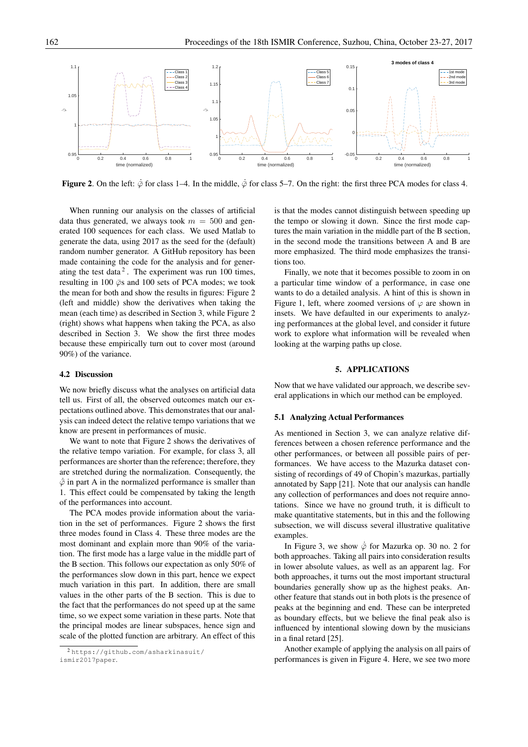

**Figure 2.** On the left:  $\dot{\varphi}$  for class 1–4. In the middle,  $\dot{\varphi}$  for class 5–7. On the right: the first three PCA modes for class 4.

When running our analysis on the classes of artificial data thus generated, we always took  $m = 500$  and generated 100 sequences for each class. We used Matlab to generate the data, using 2017 as the seed for the (default) random number generator. A GitHub repository has been made containing the code for the analysis and for generating the test data<sup>2</sup>. The experiment was run 100 times, resulting in 100  $\bar{\varphi}$ s and 100 sets of PCA modes; we took the mean for both and show the results in figures: Figure 2 (left and middle) show the derivatives when taking the mean (each time) as described in Section 3, while Figure 2 (right) shows what happens when taking the PCA, as also described in Section 3. We show the first three modes because these empirically turn out to cover most (around 90%) of the variance.

### 4.2 Discussion

We now briefly discuss what the analyses on artificial data tell us. First of all, the observed outcomes match our expectations outlined above. This demonstrates that our analysis can indeed detect the relative tempo variations that we know are present in performances of music.

We want to note that Figure 2 shows the derivatives of the relative tempo variation. For example, for class 3, all performances are shorter than the reference; therefore, they are stretched during the normalization. Consequently, the  $\dot{\bar{\varphi}}$  in part A in the normalized performance is smaller than 1. This effect could be compensated by taking the length of the performances into account.

The PCA modes provide information about the variation in the set of performances. Figure 2 shows the first three modes found in Class 4. These three modes are the most dominant and explain more than 90% of the variation. The first mode has a large value in the middle part of the B section. This follows our expectation as only 50% of the performances slow down in this part, hence we expect much variation in this part. In addition, there are small values in the other parts of the B section. This is due to the fact that the performances do not speed up at the same time, so we expect some variation in these parts. Note that the principal modes are linear subspaces, hence sign and scale of the plotted function are arbitrary. An effect of this is that the modes cannot distinguish between speeding up the tempo or slowing it down. Since the first mode captures the main variation in the middle part of the B section, in the second mode the transitions between A and B are more emphasized. The third mode emphasizes the transitions too.

Finally, we note that it becomes possible to zoom in on a particular time window of a performance, in case one wants to do a detailed analysis. A hint of this is shown in Figure 1, left, where zoomed versions of  $\varphi$  are shown in insets. We have defaulted in our experiments to analyzing performances at the global level, and consider it future work to explore what information will be revealed when looking at the warping paths up close.

## 5. APPLICATIONS

Now that we have validated our approach, we describe several applications in which our method can be employed.

#### 5.1 Analyzing Actual Performances

As mentioned in Section 3, we can analyze relative differences between a chosen reference performance and the other performances, or between all possible pairs of performances. We have access to the Mazurka dataset consisting of recordings of 49 of Chopin's mazurkas, partially annotated by Sapp [21]. Note that our analysis can handle any collection of performances and does not require annotations. Since we have no ground truth, it is difficult to make quantitative statements, but in this and the following subsection, we will discuss several illustrative qualitative examples.

In Figure 3, we show  $\dot{\varphi}$  for Mazurka op. 30 no. 2 for both approaches. Taking all pairs into consideration results in lower absolute values, as well as an apparent lag. For both approaches, it turns out the most important structural boundaries generally show up as the highest peaks. Another feature that stands out in both plots is the presence of peaks at the beginning and end. These can be interpreted as boundary effects, but we believe the final peak also is influenced by intentional slowing down by the musicians in a final retard [25].

Another example of applying the analysis on all pairs of performances is given in Figure 4. Here, we see two more

<sup>2</sup> https://github.com/asharkinasuit/ ismir2017paper.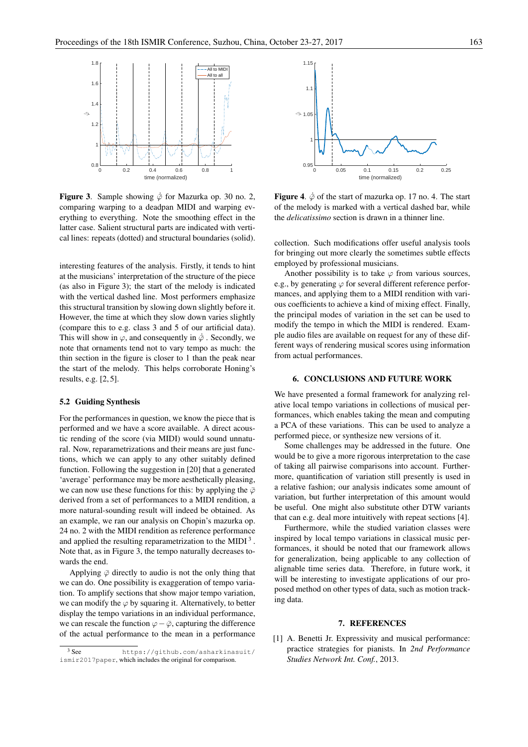

**Figure 3.** Sample showing  $\dot{\bar{\varphi}}$  for Mazurka op. 30 no. 2, comparing warping to a deadpan MIDI and warping everything to everything. Note the smoothing effect in the latter case. Salient structural parts are indicated with vertical lines: repeats (dotted) and structural boundaries (solid).

interesting features of the analysis. Firstly, it tends to hint at the musicians' interpretation of the structure of the piece (as also in Figure 3); the start of the melody is indicated with the vertical dashed line. Most performers emphasize this structural transition by slowing down slightly before it. However, the time at which they slow down varies slightly (compare this to e.g. class 3 and 5 of our artificial data). This will show in  $\varphi$ , and consequently in  $\dot{\bar{\varphi}}$ . Secondly, we note that ornaments tend not to vary tempo as much: the thin section in the figure is closer to 1 than the peak near the start of the melody. This helps corroborate Honing's results, e.g. [2, 5].

#### 5.2 Guiding Synthesis

For the performances in question, we know the piece that is performed and we have a score available. A direct acoustic rending of the score (via MIDI) would sound unnatural. Now, reparametrizations and their means are just functions, which we can apply to any other suitably defined function. Following the suggestion in [20] that a generated 'average' performance may be more aesthetically pleasing, we can now use these functions for this: by applying the  $\bar{\varphi}$ derived from a set of performances to a MIDI rendition, a more natural-sounding result will indeed be obtained. As an example, we ran our analysis on Chopin's mazurka op. 24 no. 2 with the MIDI rendition as reference performance and applied the resulting reparametrization to the MIDI $<sup>3</sup>$ .</sup> Note that, as in Figure 3, the tempo naturally decreases towards the end.

Applying  $\overline{\varphi}$  directly to audio is not the only thing that we can do. One possibility is exaggeration of tempo variation. To amplify sections that show major tempo variation, we can modify the  $\varphi$  by squaring it. Alternatively, to better display the tempo variations in an individual performance, we can rescale the function  $\varphi - \overline{\varphi}$ , capturing the difference of the actual performance to the mean in a performance



**Figure 4.**  $\dot{\phi}$  of the start of mazurka op. 17 no. 4. The start of the melody is marked with a vertical dashed bar, while the *delicatissimo* section is drawn in a thinner line.

collection. Such modifications offer useful analysis tools for bringing out more clearly the sometimes subtle effects employed by professional musicians.

Another possibility is to take  $\varphi$  from various sources, e.g., by generating  $\varphi$  for several different reference performances, and applying them to a MIDI rendition with various coefficients to achieve a kind of mixing effect. Finally, the principal modes of variation in the set can be used to modify the tempo in which the MIDI is rendered. Example audio files are available on request for any of these different ways of rendering musical scores using information from actual performances.

## 6. CONCLUSIONS AND FUTURE WORK

We have presented a formal framework for analyzing relative local tempo variations in collections of musical performances, which enables taking the mean and computing a PCA of these variations. This can be used to analyze a performed piece, or synthesize new versions of it.

Some challenges may be addressed in the future. One would be to give a more rigorous interpretation to the case of taking all pairwise comparisons into account. Furthermore, quantification of variation still presently is used in a relative fashion; our analysis indicates some amount of variation, but further interpretation of this amount would be useful. One might also substitute other DTW variants that can e.g. deal more intuitively with repeat sections [4].

Furthermore, while the studied variation classes were inspired by local tempo variations in classical music performances, it should be noted that our framework allows for generalization, being applicable to any collection of alignable time series data. Therefore, in future work, it will be interesting to investigate applications of our proposed method on other types of data, such as motion tracking data.

#### 7. REFERENCES

[1] A. Benetti Jr. Expressivity and musical performance: practice strategies for pianists. In *2nd Performance Studies Network Int. Conf.*, 2013.

<sup>3</sup> See https://github.com/asharkinasuit/ ismir2017paper, which includes the original for comparison.